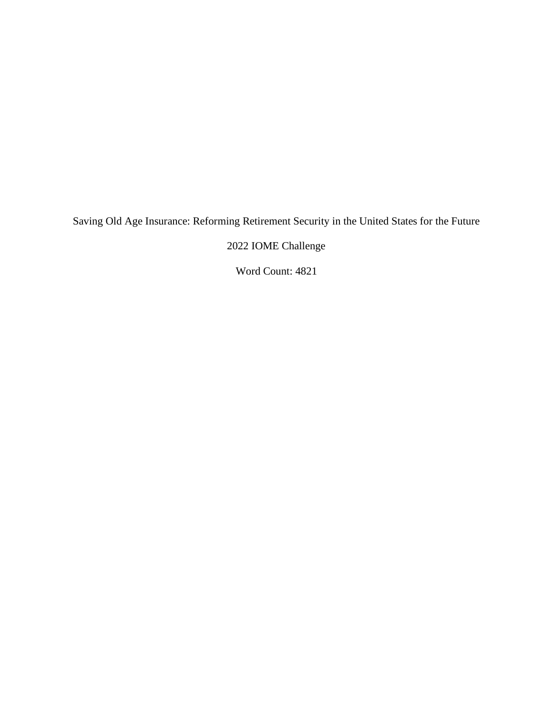Saving Old Age Insurance: Reforming Retirement Security in the United States for the Future

2022 IOME Challenge

Word Count: 4821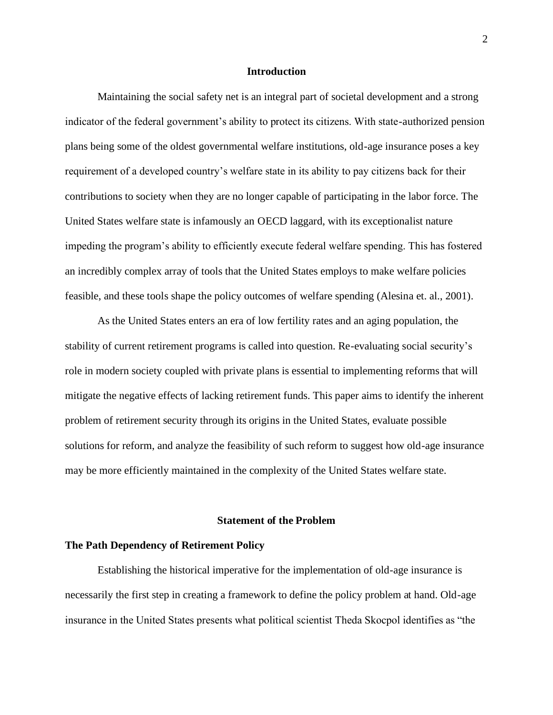## **Introduction**

Maintaining the social safety net is an integral part of societal development and a strong indicator of the federal government's ability to protect its citizens. With state-authorized pension plans being some of the oldest governmental welfare institutions, old-age insurance poses a key requirement of a developed country's welfare state in its ability to pay citizens back for their contributions to society when they are no longer capable of participating in the labor force. The United States welfare state is infamously an OECD laggard, with its exceptionalist nature impeding the program's ability to efficiently execute federal welfare spending. This has fostered an incredibly complex array of tools that the United States employs to make welfare policies feasible, and these tools shape the policy outcomes of welfare spending (Alesina et. al., 2001).

As the United States enters an era of low fertility rates and an aging population, the stability of current retirement programs is called into question. Re-evaluating social security's role in modern society coupled with private plans is essential to implementing reforms that will mitigate the negative effects of lacking retirement funds. This paper aims to identify the inherent problem of retirement security through its origins in the United States, evaluate possible solutions for reform, and analyze the feasibility of such reform to suggest how old-age insurance may be more efficiently maintained in the complexity of the United States welfare state.

## **Statement of the Problem**

#### **The Path Dependency of Retirement Policy**

Establishing the historical imperative for the implementation of old-age insurance is necessarily the first step in creating a framework to define the policy problem at hand. Old-age insurance in the United States presents what political scientist Theda Skocpol identifies as "the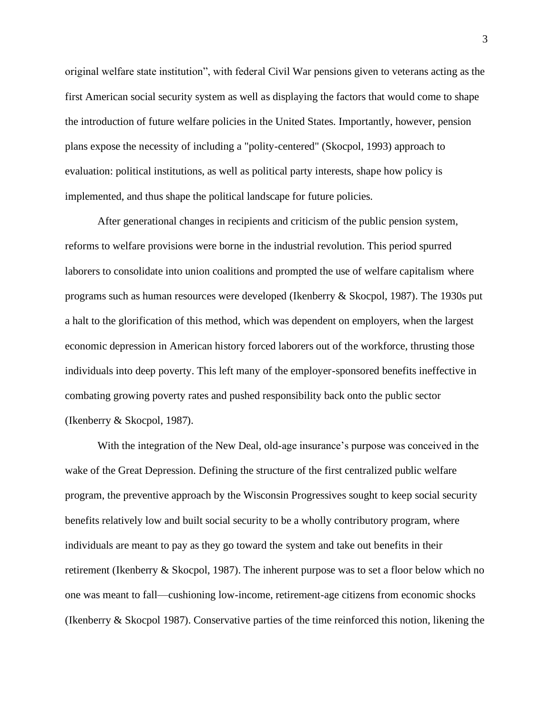original welfare state institution", with federal Civil War pensions given to veterans acting as the first American social security system as well as displaying the factors that would come to shape the introduction of future welfare policies in the United States. Importantly, however, pension plans expose the necessity of including a "polity-centered" (Skocpol, 1993) approach to evaluation: political institutions, as well as political party interests, shape how policy is implemented, and thus shape the political landscape for future policies.

After generational changes in recipients and criticism of the public pension system, reforms to welfare provisions were borne in the industrial revolution. This period spurred laborers to consolidate into union coalitions and prompted the use of welfare capitalism where programs such as human resources were developed (Ikenberry & Skocpol, 1987). The 1930s put a halt to the glorification of this method, which was dependent on employers, when the largest economic depression in American history forced laborers out of the workforce, thrusting those individuals into deep poverty. This left many of the employer-sponsored benefits ineffective in combating growing poverty rates and pushed responsibility back onto the public sector (Ikenberry & Skocpol, 1987).

With the integration of the New Deal, old-age insurance's purpose was conceived in the wake of the Great Depression. Defining the structure of the first centralized public welfare program, the preventive approach by the Wisconsin Progressives sought to keep social security benefits relatively low and built social security to be a wholly contributory program, where individuals are meant to pay as they go toward the system and take out benefits in their retirement (Ikenberry & Skocpol, 1987). The inherent purpose was to set a floor below which no one was meant to fall—cushioning low-income, retirement-age citizens from economic shocks (Ikenberry & Skocpol 1987). Conservative parties of the time reinforced this notion, likening the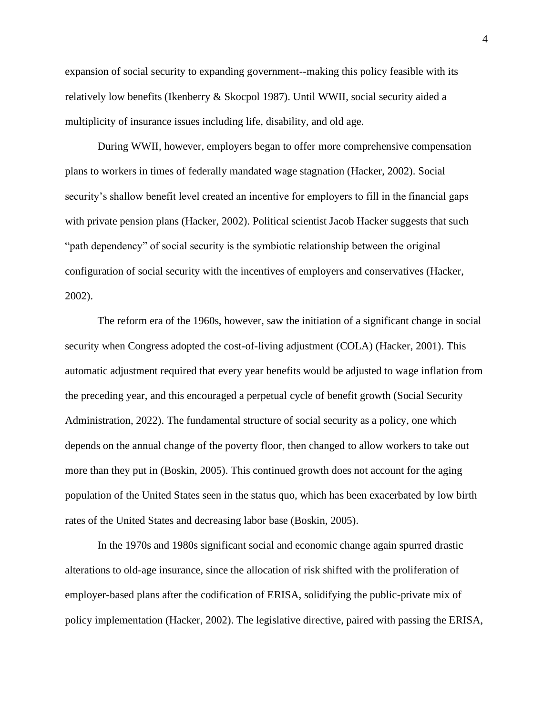expansion of social security to expanding government--making this policy feasible with its relatively low benefits (Ikenberry & Skocpol 1987). Until WWII, social security aided a multiplicity of insurance issues including life, disability, and old age.

During WWII, however, employers began to offer more comprehensive compensation plans to workers in times of federally mandated wage stagnation (Hacker, 2002). Social security's shallow benefit level created an incentive for employers to fill in the financial gaps with private pension plans (Hacker, 2002). Political scientist Jacob Hacker suggests that such "path dependency" of social security is the symbiotic relationship between the original configuration of social security with the incentives of employers and conservatives (Hacker, 2002).

The reform era of the 1960s, however, saw the initiation of a significant change in social security when Congress adopted the cost-of-living adjustment (COLA) (Hacker, 2001). This automatic adjustment required that every year benefits would be adjusted to wage inflation from the preceding year, and this encouraged a perpetual cycle of benefit growth (Social Security Administration, 2022). The fundamental structure of social security as a policy, one which depends on the annual change of the poverty floor, then changed to allow workers to take out more than they put in (Boskin, 2005). This continued growth does not account for the aging population of the United States seen in the status quo, which has been exacerbated by low birth rates of the United States and decreasing labor base (Boskin, 2005).

In the 1970s and 1980s significant social and economic change again spurred drastic alterations to old-age insurance, since the allocation of risk shifted with the proliferation of employer-based plans after the codification of ERISA, solidifying the public-private mix of policy implementation (Hacker, 2002). The legislative directive, paired with passing the ERISA,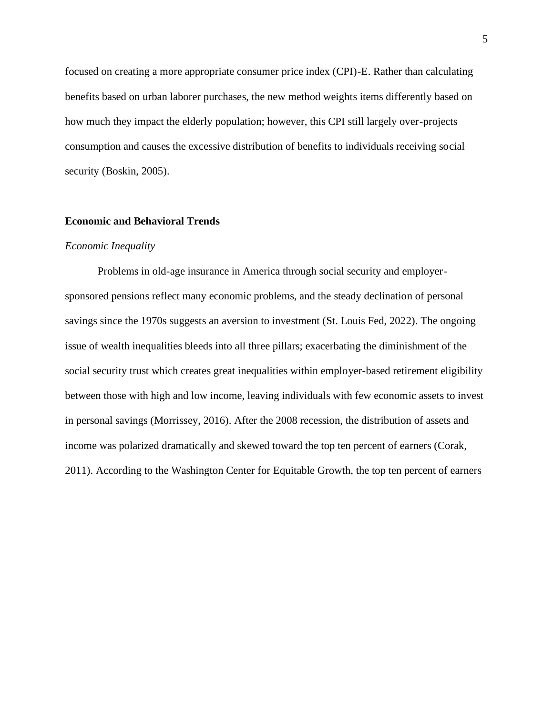focused on creating a more appropriate consumer price index (CPI)-E. Rather than calculating benefits based on urban laborer purchases, the new method weights items differently based on how much they impact the elderly population; however, this CPI still largely over-projects consumption and causes the excessive distribution of benefits to individuals receiving social security (Boskin, 2005).

## **Economic and Behavioral Trends**

## *Economic Inequality*

Problems in old-age insurance in America through social security and employersponsored pensions reflect many economic problems, and the steady declination of personal savings since the 1970s suggests an aversion to investment (St. Louis Fed, 2022). The ongoing issue of wealth inequalities bleeds into all three pillars; exacerbating the diminishment of the social security trust which creates great inequalities within employer-based retirement eligibility between those with high and low income, leaving individuals with few economic assets to invest in personal savings (Morrissey, 2016). After the 2008 recession, the distribution of assets and income was polarized dramatically and skewed toward the top ten percent of earners (Corak, 2011). According to the Washington Center for Equitable Growth, the top ten percent of earners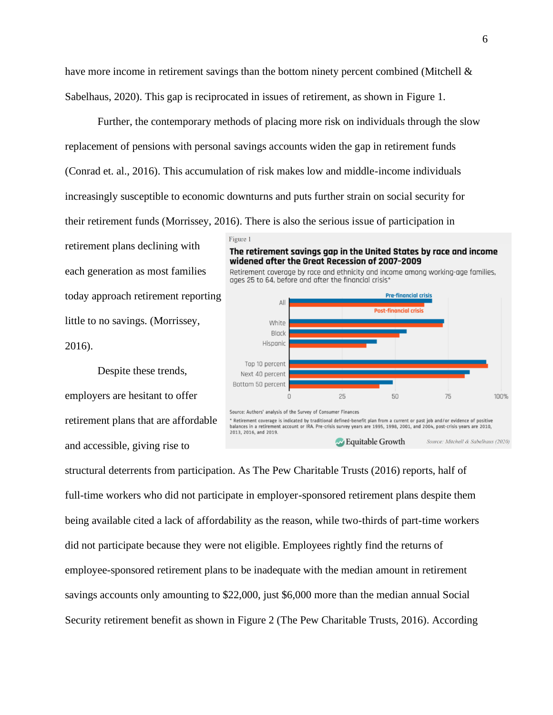have more income in retirement savings than the bottom ninety percent combined (Mitchell & Sabelhaus, 2020). This gap is reciprocated in issues of retirement, as shown in Figure 1.

Further, the contemporary methods of placing more risk on individuals through the slow replacement of pensions with personal savings accounts widen the gap in retirement funds (Conrad et. al., 2016). This accumulation of risk makes low and middle-income individuals increasingly susceptible to economic downturns and puts further strain on social security for their retirement funds (Morrissey, 2016). There is also the serious issue of participation in

retirement plans declining with each generation as most families today approach retirement reporting little to no savings. (Morrissey, 2016).

Despite these trends, employers are hesitant to offer retirement plans that are affordable and accessible, giving rise to





structural deterrents from participation. As The Pew Charitable Trusts (2016) reports, half of full-time workers who did not participate in employer-sponsored retirement plans despite them being available cited a lack of affordability as the reason, while two-thirds of part-time workers did not participate because they were not eligible. Employees rightly find the returns of employee-sponsored retirement plans to be inadequate with the median amount in retirement savings accounts only amounting to \$22,000, just \$6,000 more than the median annual Social Security retirement benefit as shown in Figure 2 (The Pew Charitable Trusts, 2016). According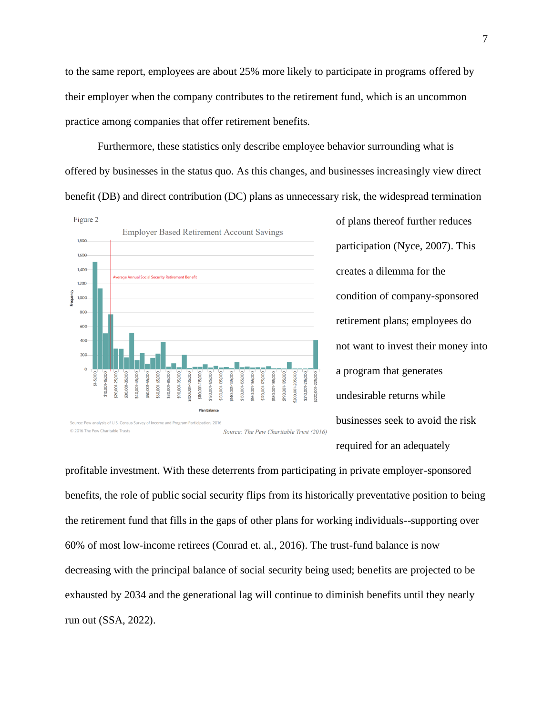to the same report, employees are about 25% more likely to participate in programs offered by their employer when the company contributes to the retirement fund, which is an uncommon practice among companies that offer retirement benefits.

Furthermore, these statistics only describe employee behavior surrounding what is offered by businesses in the status quo. As this changes, and businesses increasingly view direct benefit (DB) and direct contribution (DC) plans as unnecessary risk, the widespread termination



of plans thereof further reduces participation (Nyce, 2007). This creates a dilemma for the condition of company-sponsored retirement plans; employees do not want to invest their money into a program that generates undesirable returns while businesses seek to avoid the risk required for an adequately

profitable investment. With these deterrents from participating in private employer-sponsored benefits, the role of public social security flips from its historically preventative position to being the retirement fund that fills in the gaps of other plans for working individuals--supporting over 60% of most low-income retirees (Conrad et. al., 2016). The trust-fund balance is now decreasing with the principal balance of social security being used; benefits are projected to be exhausted by 2034 and the generational lag will continue to diminish benefits until they nearly run out (SSA, 2022).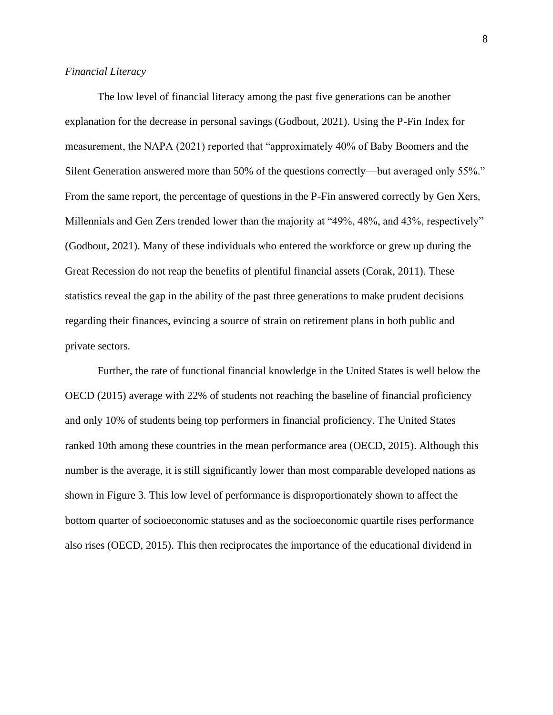## *Financial Literacy*

The low level of financial literacy among the past five generations can be another explanation for the decrease in personal savings (Godbout, 2021). Using the P-Fin Index for measurement, the NAPA (2021) reported that "approximately 40% of Baby Boomers and the Silent Generation answered more than 50% of the questions correctly—but averaged only 55%." From the same report, the percentage of questions in the P-Fin answered correctly by Gen Xers, Millennials and Gen Zers trended lower than the majority at "49%, 48%, and 43%, respectively" (Godbout, 2021). Many of these individuals who entered the workforce or grew up during the Great Recession do not reap the benefits of plentiful financial assets (Corak, 2011). These statistics reveal the gap in the ability of the past three generations to make prudent decisions regarding their finances, evincing a source of strain on retirement plans in both public and private sectors.

Further, the rate of functional financial knowledge in the United States is well below the OECD (2015) average with 22% of students not reaching the baseline of financial proficiency and only 10% of students being top performers in financial proficiency. The United States ranked 10th among these countries in the mean performance area (OECD, 2015). Although this number is the average, it is still significantly lower than most comparable developed nations as shown in Figure 3. This low level of performance is disproportionately shown to affect the bottom quarter of socioeconomic statuses and as the socioeconomic quartile rises performance also rises (OECD, 2015). This then reciprocates the importance of the educational dividend in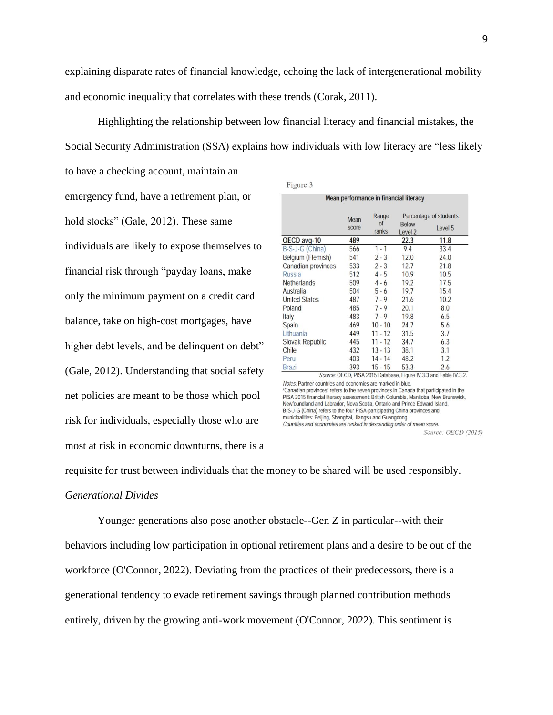explaining disparate rates of financial knowledge, echoing the lack of intergenerational mobility and economic inequality that correlates with these trends (Corak, 2011).

Highlighting the relationship between low financial literacy and financial mistakes, the Social Security Administration (SSA) explains how individuals with low literacy are "less likely

to have a checking account, maintain an emergency fund, have a retirement plan, or hold stocks" (Gale, 2012). These same individuals are likely to expose themselves to financial risk through "payday loans, make only the minimum payment on a credit card balance, take on high-cost mortgages, have higher debt levels, and be delinquent on debt" (Gale, 2012). Understanding that social safety net policies are meant to be those which pool risk for individuals, especially those who are most at risk in economic downturns, there is a

| Mean performance in financial literacy |               |             |                         |         |  |
|----------------------------------------|---------------|-------------|-------------------------|---------|--|
|                                        | Mean<br>score | Range       | Percentage of students  |         |  |
|                                        |               | of<br>ranks | <b>Below</b><br>Level 2 | Level 5 |  |
| OECD avg-10                            | 489           |             | 22.3                    | 11.8    |  |
| B-S-J-G (China)                        | 566           | $1 - 1$     | 9.4                     | 33.4    |  |
| Belgium (Flemish)                      | 541           | $2 - 3$     | 12.0                    | 24.0    |  |
| Canadian provinces                     | 533           | $2 - 3$     | 12.7                    | 21.8    |  |
| <b>Russia</b>                          | 512           | $4 - 5$     | 10.9                    | 10.5    |  |
| <b>Netherlands</b>                     | 509           | $4 - 6$     | 19.2                    | 17.5    |  |
| Australia                              | 504           | $5 - 6$     | 19.7                    | 15.4    |  |
| <b>United States</b>                   | 487           | $7 - 9$     | 21.6                    | 10.2    |  |
| Poland                                 | 485           | $7 - 9$     | 20.1                    | 8.0     |  |
| Italy                                  | 483           | $7 - 9$     | 19.8                    | 6.5     |  |
| Spain                                  | 469           | $10 - 10$   | 24.7                    | 5.6     |  |
| Lithuania                              | 449           | $11 - 12$   | 31.5                    | 3.7     |  |
| <b>Slovak Republic</b>                 | 445           | $11 - 12$   | 34.7                    | 6.3     |  |
| Chile                                  | 432           | $13 - 13$   | 38.1                    | 3.1     |  |
| Peru                                   | 403           | $14 - 14$   | 48.2                    | 1.2     |  |
| <b>Brazil</b>                          | 393           | $15 - 15$   | 53.3                    | 2.6     |  |

Notes: Partner countries and economies are marked in blue. "Canadian provinces" refers to the seven provinces in Canada that participated in the PISA 2015 financial literacy assessment: British Columbia, Manitoba, New Brunswick, Newfoundland and Labrador, Nova Scotia, Ontario and Prince Edward Island. B-S-J-G (China) refers to the four PISA-participating China provinces and municipalities: Beijing, Shanghai, Jiangsu and Guangdong. Countries and economies are ranked in descending order of mean score.

Source: OECD (2015)

# requisite for trust between individuals that the money to be shared will be used responsibly. *Generational Divides*

Younger generations also pose another obstacle--Gen Z in particular--with their behaviors including low participation in optional retirement plans and a desire to be out of the workforce (O'Connor, 2022). Deviating from the practices of their predecessors, there is a generational tendency to evade retirement savings through planned contribution methods entirely, driven by the growing anti-work movement (O'Connor, 2022). This sentiment is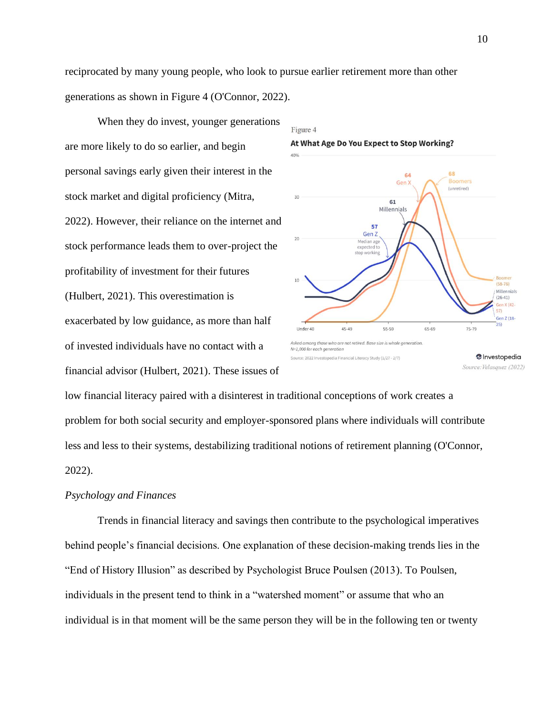reciprocated by many young people, who look to pursue earlier retirement more than other generations as shown in Figure 4 (O'Connor, 2022).

When they do invest, younger generations are more likely to do so earlier, and begin personal savings early given their interest in the stock market and digital proficiency (Mitra, 2022). However, their reliance on the internet and stock performance leads them to over-project the profitability of investment for their futures (Hulbert, 2021). This overestimation is exacerbated by low guidance, as more than half of invested individuals have no contact with a financial advisor (Hulbert, 2021). These issues of



low financial literacy paired with a disinterest in traditional conceptions of work creates a problem for both social security and employer-sponsored plans where individuals will contribute less and less to their systems, destabilizing traditional notions of retirement planning (O'Connor, 2022).

## *Psychology and Finances*

Trends in financial literacy and savings then contribute to the psychological imperatives behind people's financial decisions. One explanation of these decision-making trends lies in the "End of History Illusion" as described by Psychologist Bruce Poulsen (2013). To Poulsen, individuals in the present tend to think in a "watershed moment" or assume that who an individual is in that moment will be the same person they will be in the following ten or twenty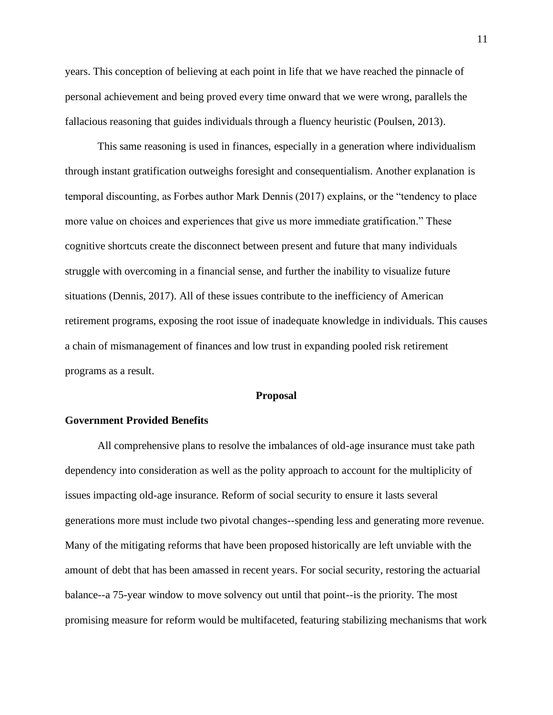years. This conception of believing at each point in life that we have reached the pinnacle of personal achievement and being proved every time onward that we were wrong, parallels the fallacious reasoning that guides individuals through a fluency heuristic (Poulsen, 2013).

This same reasoning is used in finances, especially in a generation where individualism through instant gratification outweighs foresight and consequentialism. Another explanation is temporal discounting, as Forbes author Mark Dennis (2017) explains, or the "tendency to place more value on choices and experiences that give us more immediate gratification." These cognitive shortcuts create the disconnect between present and future that many individuals struggle with overcoming in a financial sense, and further the inability to visualize future situations (Dennis, 2017). All of these issues contribute to the inefficiency of American retirement programs, exposing the root issue of inadequate knowledge in individuals. This causes a chain of mismanagement of finances and low trust in expanding pooled risk retirement programs as a result.

#### **Proposal**

# **Government Provided Benefits**

All comprehensive plans to resolve the imbalances of old-age insurance must take path dependency into consideration as well as the polity approach to account for the multiplicity of issues impacting old-age insurance. Reform of social security to ensure it lasts several generations more must include two pivotal changes--spending less and generating more revenue. Many of the mitigating reforms that have been proposed historically are left unviable with the amount of debt that has been amassed in recent years. For social security, restoring the actuarial balance--a 75-year window to move solvency out until that point--is the priority. The most promising measure for reform would be multifaceted, featuring stabilizing mechanisms that work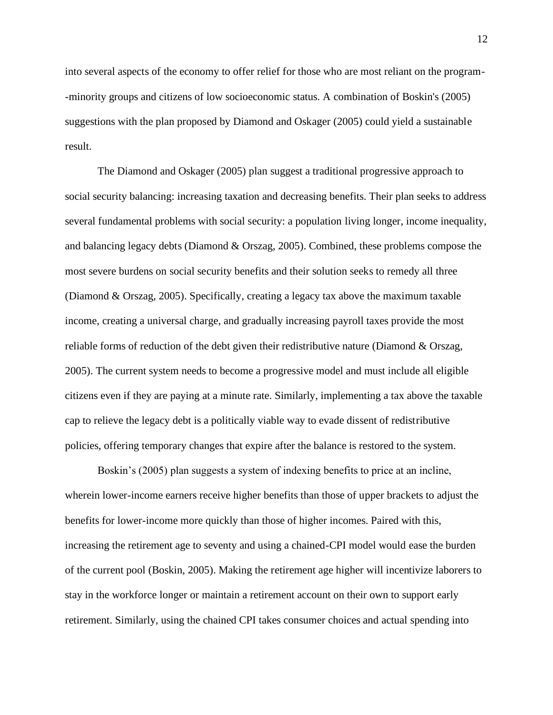into several aspects of the economy to offer relief for those who are most reliant on the program- -minority groups and citizens of low socioeconomic status. A combination of Boskin's (2005) suggestions with the plan proposed by Diamond and Oskager (2005) could yield a sustainable result.

The Diamond and Oskager (2005) plan suggest a traditional progressive approach to social security balancing: increasing taxation and decreasing benefits. Their plan seeks to address several fundamental problems with social security: a population living longer, income inequality, and balancing legacy debts (Diamond & Orszag, 2005). Combined, these problems compose the most severe burdens on social security benefits and their solution seeks to remedy all three (Diamond & Orszag, 2005). Specifically, creating a legacy tax above the maximum taxable income, creating a universal charge, and gradually increasing payroll taxes provide the most reliable forms of reduction of the debt given their redistributive nature (Diamond & Orszag, 2005). The current system needs to become a progressive model and must include all eligible citizens even if they are paying at a minute rate. Similarly, implementing a tax above the taxable cap to relieve the legacy debt is a politically viable way to evade dissent of redistributive policies, offering temporary changes that expire after the balance is restored to the system.

Boskin's (2005) plan suggests a system of indexing benefits to price at an incline, wherein lower-income earners receive higher benefits than those of upper brackets to adjust the benefits for lower-income more quickly than those of higher incomes. Paired with this, increasing the retirement age to seventy and using a chained-CPI model would ease the burden of the current pool (Boskin, 2005). Making the retirement age higher will incentivize laborers to stay in the workforce longer or maintain a retirement account on their own to support early retirement. Similarly, using the chained CPI takes consumer choices and actual spending into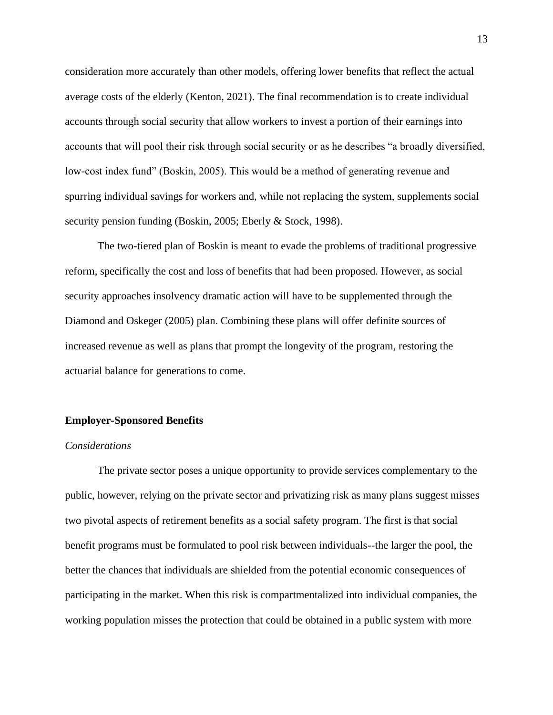consideration more accurately than other models, offering lower benefits that reflect the actual average costs of the elderly (Kenton, 2021). The final recommendation is to create individual accounts through social security that allow workers to invest a portion of their earnings into accounts that will pool their risk through social security or as he describes "a broadly diversified, low-cost index fund" (Boskin, 2005). This would be a method of generating revenue and spurring individual savings for workers and, while not replacing the system, supplements social security pension funding (Boskin, 2005; Eberly & Stock, 1998).

The two-tiered plan of Boskin is meant to evade the problems of traditional progressive reform, specifically the cost and loss of benefits that had been proposed. However, as social security approaches insolvency dramatic action will have to be supplemented through the Diamond and Oskeger (2005) plan. Combining these plans will offer definite sources of increased revenue as well as plans that prompt the longevity of the program, restoring the actuarial balance for generations to come.

## **Employer-Sponsored Benefits**

## *Considerations*

The private sector poses a unique opportunity to provide services complementary to the public, however, relying on the private sector and privatizing risk as many plans suggest misses two pivotal aspects of retirement benefits as a social safety program. The first is that social benefit programs must be formulated to pool risk between individuals--the larger the pool, the better the chances that individuals are shielded from the potential economic consequences of participating in the market. When this risk is compartmentalized into individual companies, the working population misses the protection that could be obtained in a public system with more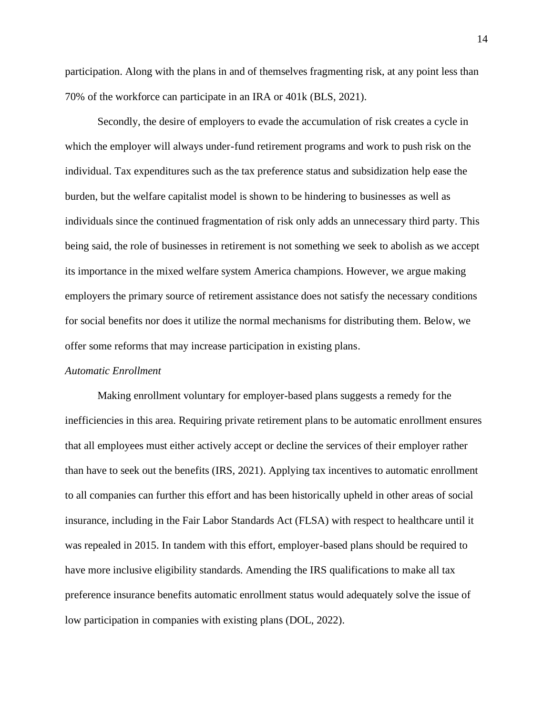participation. Along with the plans in and of themselves fragmenting risk, at any point less than 70% of the workforce can participate in an IRA or 401k (BLS, 2021).

Secondly, the desire of employers to evade the accumulation of risk creates a cycle in which the employer will always under-fund retirement programs and work to push risk on the individual. Tax expenditures such as the tax preference status and subsidization help ease the burden, but the welfare capitalist model is shown to be hindering to businesses as well as individuals since the continued fragmentation of risk only adds an unnecessary third party. This being said, the role of businesses in retirement is not something we seek to abolish as we accept its importance in the mixed welfare system America champions. However, we argue making employers the primary source of retirement assistance does not satisfy the necessary conditions for social benefits nor does it utilize the normal mechanisms for distributing them. Below, we offer some reforms that may increase participation in existing plans.

#### *Automatic Enrollment*

Making enrollment voluntary for employer-based plans suggests a remedy for the inefficiencies in this area. Requiring private retirement plans to be automatic enrollment ensures that all employees must either actively accept or decline the services of their employer rather than have to seek out the benefits (IRS, 2021). Applying tax incentives to automatic enrollment to all companies can further this effort and has been historically upheld in other areas of social insurance, including in the Fair Labor Standards Act (FLSA) with respect to healthcare until it was repealed in 2015. In tandem with this effort, employer-based plans should be required to have more inclusive eligibility standards. Amending the IRS qualifications to make all tax preference insurance benefits automatic enrollment status would adequately solve the issue of low participation in companies with existing plans (DOL, 2022).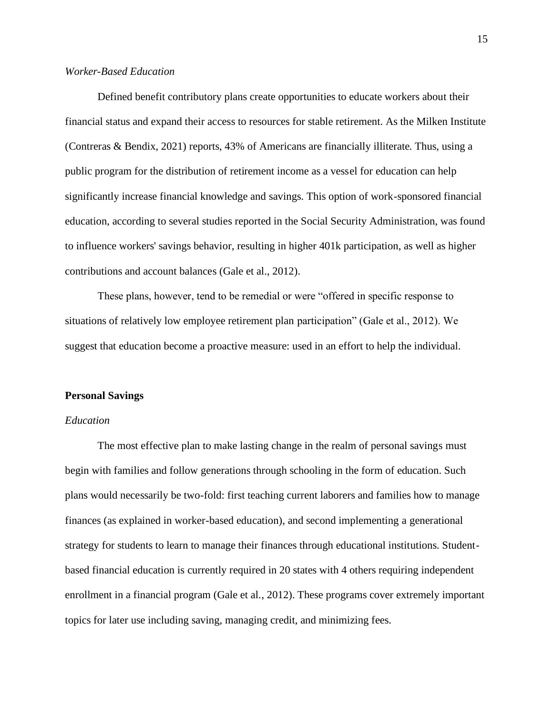# *Worker-Based Education*

Defined benefit contributory plans create opportunities to educate workers about their financial status and expand their access to resources for stable retirement. As the Milken Institute (Contreras & Bendix, 2021) reports, 43% of Americans are financially illiterate. Thus, using a public program for the distribution of retirement income as a vessel for education can help significantly increase financial knowledge and savings. This option of work-sponsored financial education, according to several studies reported in the Social Security Administration, was found to influence workers' savings behavior, resulting in higher 401k participation, as well as higher contributions and account balances (Gale et al., 2012).

These plans, however, tend to be remedial or were "offered in specific response to situations of relatively low employee retirement plan participation" (Gale et al., 2012). We suggest that education become a proactive measure: used in an effort to help the individual.

#### **Personal Savings**

## *Education*

The most effective plan to make lasting change in the realm of personal savings must begin with families and follow generations through schooling in the form of education. Such plans would necessarily be two-fold: first teaching current laborers and families how to manage finances (as explained in worker-based education), and second implementing a generational strategy for students to learn to manage their finances through educational institutions. Studentbased financial education is currently required in 20 states with 4 others requiring independent enrollment in a financial program (Gale et al., 2012). These programs cover extremely important topics for later use including saving, managing credit, and minimizing fees.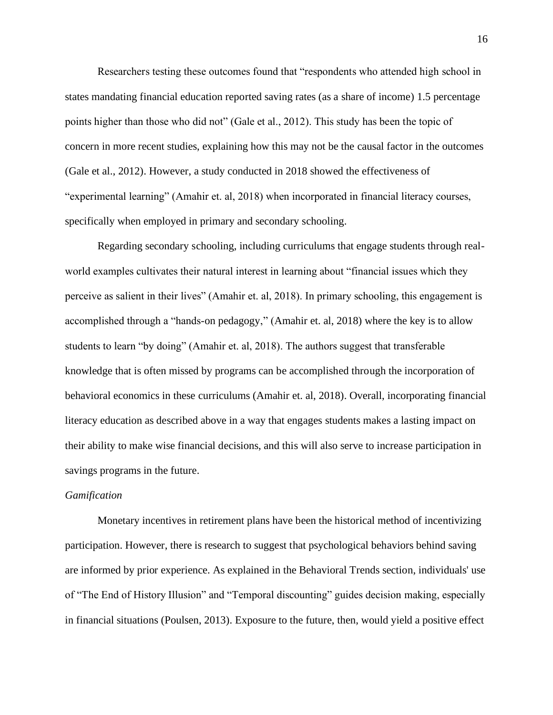Researchers testing these outcomes found that "respondents who attended high school in states mandating financial education reported saving rates (as a share of income) 1.5 percentage points higher than those who did not" (Gale et al., 2012). This study has been the topic of concern in more recent studies, explaining how this may not be the causal factor in the outcomes (Gale et al., 2012). However, a study conducted in 2018 showed the effectiveness of "experimental learning" (Amahir et. al, 2018) when incorporated in financial literacy courses, specifically when employed in primary and secondary schooling.

Regarding secondary schooling, including curriculums that engage students through realworld examples cultivates their natural interest in learning about "financial issues which they perceive as salient in their lives" (Amahir et. al, 2018). In primary schooling, this engagement is accomplished through a "hands-on pedagogy," (Amahir et. al, 2018) where the key is to allow students to learn "by doing" (Amahir et. al, 2018). The authors suggest that transferable knowledge that is often missed by programs can be accomplished through the incorporation of behavioral economics in these curriculums (Amahir et. al, 2018). Overall, incorporating financial literacy education as described above in a way that engages students makes a lasting impact on their ability to make wise financial decisions, and this will also serve to increase participation in savings programs in the future.

# *Gamification*

Monetary incentives in retirement plans have been the historical method of incentivizing participation. However, there is research to suggest that psychological behaviors behind saving are informed by prior experience. As explained in the Behavioral Trends section, individuals' use of "The End of History Illusion" and "Temporal discounting" guides decision making, especially in financial situations (Poulsen, 2013). Exposure to the future, then, would yield a positive effect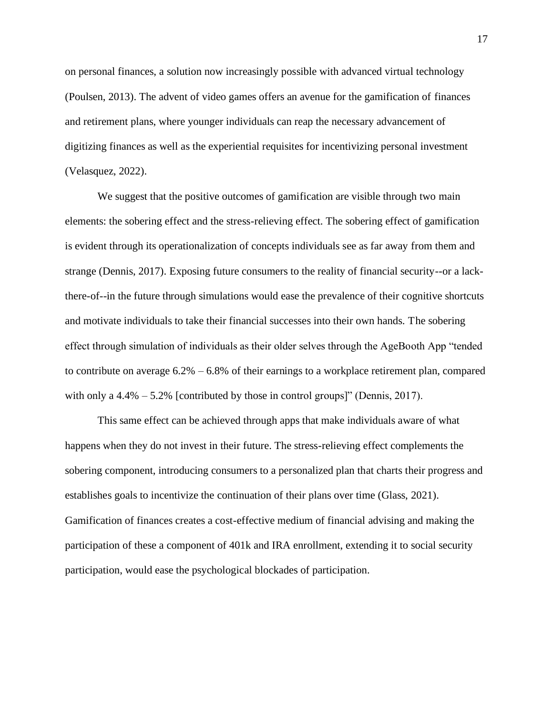on personal finances, a solution now increasingly possible with advanced virtual technology (Poulsen, 2013). The advent of video games offers an avenue for the gamification of finances and retirement plans, where younger individuals can reap the necessary advancement of digitizing finances as well as the experiential requisites for incentivizing personal investment (Velasquez, 2022).

We suggest that the positive outcomes of gamification are visible through two main elements: the sobering effect and the stress-relieving effect. The sobering effect of gamification is evident through its operationalization of concepts individuals see as far away from them and strange (Dennis, 2017). Exposing future consumers to the reality of financial security--or a lackthere-of--in the future through simulations would ease the prevalence of their cognitive shortcuts and motivate individuals to take their financial successes into their own hands. The sobering effect through simulation of individuals as their older selves through the AgeBooth App "tended to contribute on average  $6.2\% - 6.8\%$  of their earnings to a workplace retirement plan, compared with only a  $4.4\% - 5.2\%$  [contributed by those in control groups]" (Dennis, 2017).

This same effect can be achieved through apps that make individuals aware of what happens when they do not invest in their future. The stress-relieving effect complements the sobering component, introducing consumers to a personalized plan that charts their progress and establishes goals to incentivize the continuation of their plans over time (Glass, 2021). Gamification of finances creates a cost-effective medium of financial advising and making the participation of these a component of 401k and IRA enrollment, extending it to social security participation, would ease the psychological blockades of participation.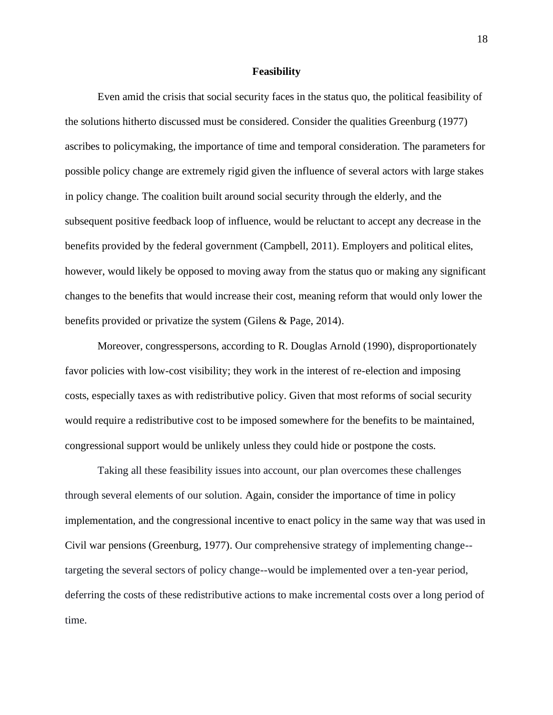## **Feasibility**

Even amid the crisis that social security faces in the status quo, the political feasibility of the solutions hitherto discussed must be considered. Consider the qualities Greenburg (1977) ascribes to policymaking, the importance of time and temporal consideration. The parameters for possible policy change are extremely rigid given the influence of several actors with large stakes in policy change. The coalition built around social security through the elderly, and the subsequent positive feedback loop of influence, would be reluctant to accept any decrease in the benefits provided by the federal government (Campbell, 2011). Employers and political elites, however, would likely be opposed to moving away from the status quo or making any significant changes to the benefits that would increase their cost, meaning reform that would only lower the benefits provided or privatize the system (Gilens & Page, 2014).

Moreover, congresspersons, according to R. Douglas Arnold (1990), disproportionately favor policies with low-cost visibility; they work in the interest of re-election and imposing costs, especially taxes as with redistributive policy. Given that most reforms of social security would require a redistributive cost to be imposed somewhere for the benefits to be maintained, congressional support would be unlikely unless they could hide or postpone the costs.

Taking all these feasibility issues into account, our plan overcomes these challenges through several elements of our solution. Again, consider the importance of time in policy implementation, and the congressional incentive to enact policy in the same way that was used in Civil war pensions (Greenburg, 1977). Our comprehensive strategy of implementing change- targeting the several sectors of policy change--would be implemented over a ten-year period, deferring the costs of these redistributive actions to make incremental costs over a long period of time.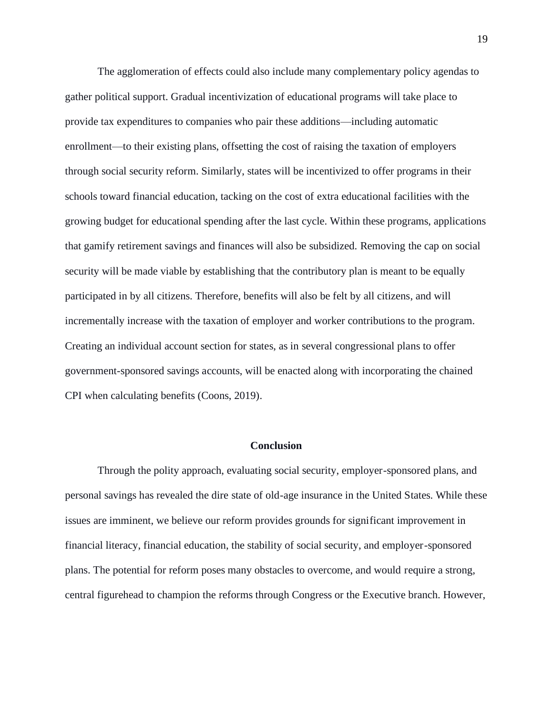The agglomeration of effects could also include many complementary policy agendas to gather political support. Gradual incentivization of educational programs will take place to provide tax expenditures to companies who pair these additions—including automatic enrollment—to their existing plans, offsetting the cost of raising the taxation of employers through social security reform. Similarly, states will be incentivized to offer programs in their schools toward financial education, tacking on the cost of extra educational facilities with the growing budget for educational spending after the last cycle. Within these programs, applications that gamify retirement savings and finances will also be subsidized. Removing the cap on social security will be made viable by establishing that the contributory plan is meant to be equally participated in by all citizens. Therefore, benefits will also be felt by all citizens, and will incrementally increase with the taxation of employer and worker contributions to the program. Creating an individual account section for states, as in several congressional plans to offer government-sponsored savings accounts, will be enacted along with incorporating the chained CPI when calculating benefits (Coons, 2019).

## **Conclusion**

Through the polity approach, evaluating social security, employer-sponsored plans, and personal savings has revealed the dire state of old-age insurance in the United States. While these issues are imminent, we believe our reform provides grounds for significant improvement in financial literacy, financial education, the stability of social security, and employer-sponsored plans. The potential for reform poses many obstacles to overcome, and would require a strong, central figurehead to champion the reforms through Congress or the Executive branch. However,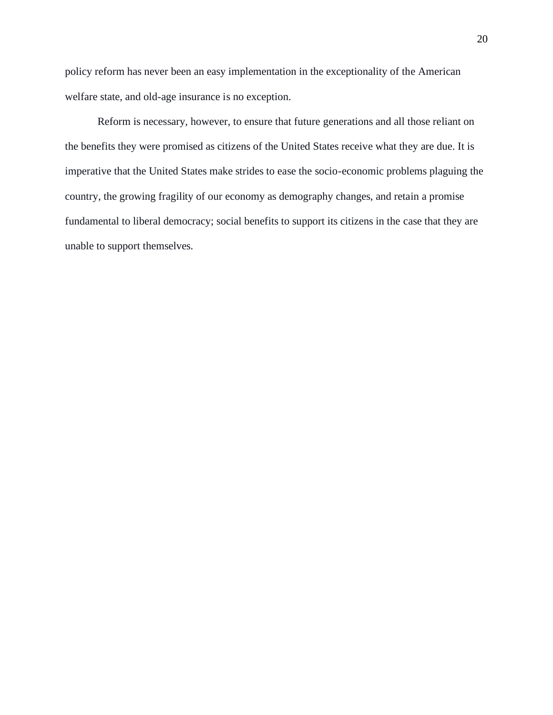policy reform has never been an easy implementation in the exceptionality of the American welfare state, and old-age insurance is no exception.

Reform is necessary, however, to ensure that future generations and all those reliant on the benefits they were promised as citizens of the United States receive what they are due. It is imperative that the United States make strides to ease the socio-economic problems plaguing the country, the growing fragility of our economy as demography changes, and retain a promise fundamental to liberal democracy; social benefits to support its citizens in the case that they are unable to support themselves.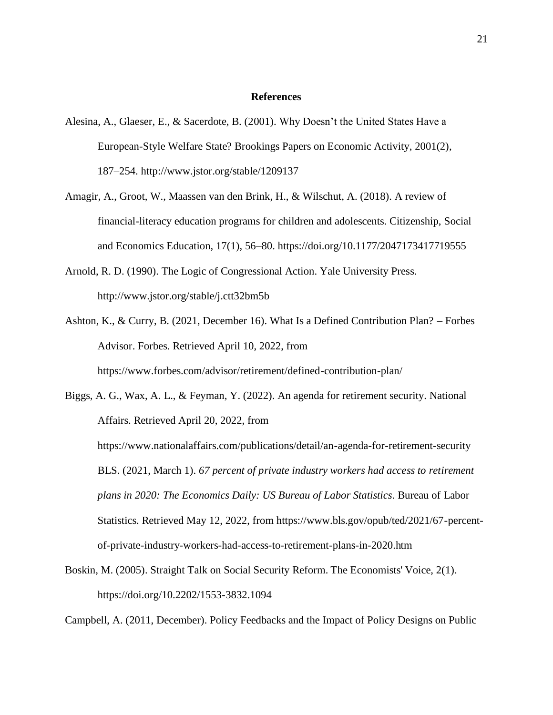## **References**

- Alesina, A., Glaeser, E., & Sacerdote, B. (2001). Why Doesn't the United States Have a European-Style Welfare State? Brookings Papers on Economic Activity, 2001(2), 187–254. http://www.jstor.org/stable/1209137
- Amagir, A., Groot, W., Maassen van den Brink, H., & Wilschut, A. (2018). A review of financial-literacy education programs for children and adolescents. Citizenship, Social and Economics Education, 17(1), 56–80. https://doi.org/10.1177/2047173417719555
- Arnold, R. D. (1990). The Logic of Congressional Action. Yale University Press. http://www.jstor.org/stable/j.ctt32bm5b
- Ashton, K., & Curry, B. (2021, December 16). What Is a Defined Contribution Plan? Forbes Advisor. Forbes. Retrieved April 10, 2022, from https://www.forbes.com/advisor/retirement/defined-contribution-plan/

Biggs, A. G., Wax, A. L., & Feyman, Y. (2022). An agenda for retirement security. National Affairs. Retrieved April 20, 2022, from https://www.nationalaffairs.com/publications/detail/an-agenda-for-retirement-security BLS. (2021, March 1). *67 percent of private industry workers had access to retirement plans in 2020: The Economics Daily: US Bureau of Labor Statistics*. Bureau of Labor Statistics. Retrieved May 12, 2022, from https://www.bls.gov/opub/ted/2021/67-percentof-private-industry-workers-had-access-to-retirement-plans-in-2020.htm

Boskin, M. (2005). Straight Talk on Social Security Reform. The Economists' Voice, 2(1). https://doi.org/10.2202/1553-3832.1094

Campbell, A. (2011, December). Policy Feedbacks and the Impact of Policy Designs on Public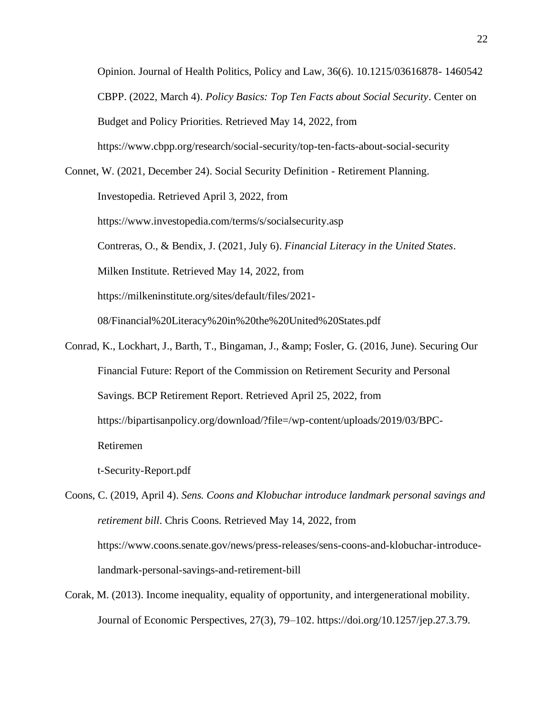Opinion. Journal of Health Politics, Policy and Law, 36(6). 10.1215/03616878- 1460542 CBPP. (2022, March 4). *Policy Basics: Top Ten Facts about Social Security*. Center on Budget and Policy Priorities. Retrieved May 14, 2022, from https://www.cbpp.org/research/social-security/top-ten-facts-about-social-security

Connet, W. (2021, December 24). Social Security Definition - Retirement Planning. Investopedia. Retrieved April 3, 2022, from https://www.investopedia.com/terms/s/socialsecurity.asp Contreras, O., & Bendix, J. (2021, July 6). *Financial Literacy in the United States*. Milken Institute. Retrieved May 14, 2022, from https://milkeninstitute.org/sites/default/files/2021- 08/Financial%20Literacy%20in%20the%20United%20States.pdf

Conrad, K., Lockhart, J., Barth, T., Bingaman, J., & amp; Fosler, G. (2016, June). Securing Our Financial Future: Report of the Commission on Retirement Security and Personal Savings. BCP Retirement Report. Retrieved April 25, 2022, from https://bipartisanpolicy.org/download/?file=/wp-content/uploads/2019/03/BPC-Retiremen t-Security-Report.pdf

Coons, C. (2019, April 4). *Sens. Coons and Klobuchar introduce landmark personal savings and retirement bill*. Chris Coons. Retrieved May 14, 2022, from https://www.coons.senate.gov/news/press-releases/sens-coons-and-klobuchar-introducelandmark-personal-savings-and-retirement-bill

Corak, M. (2013). Income inequality, equality of opportunity, and intergenerational mobility. Journal of Economic Perspectives, 27(3), 79–102. https://doi.org/10.1257/jep.27.3.79.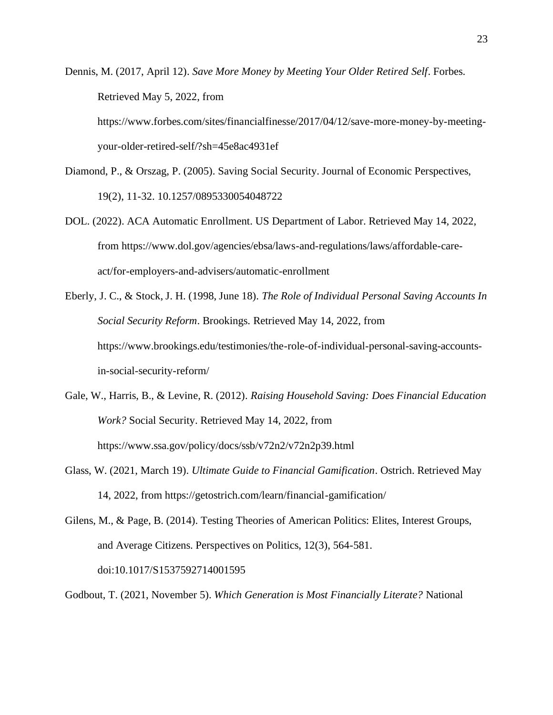Dennis, M. (2017, April 12). *Save More Money by Meeting Your Older Retired Self*. Forbes. Retrieved May 5, 2022, from https://www.forbes.com/sites/financialfinesse/2017/04/12/save-more-money-by-meetingyour-older-retired-self/?sh=45e8ac4931ef

- Diamond, P., & Orszag, P. (2005). Saving Social Security. Journal of Economic Perspectives, 19(2), 11-32. 10.1257/0895330054048722
- DOL. (2022). ACA Automatic Enrollment. US Department of Labor. Retrieved May 14, 2022, from https://www.dol.gov/agencies/ebsa/laws-and-regulations/laws/affordable-careact/for-employers-and-advisers/automatic-enrollment
- Eberly, J. C., & Stock, J. H. (1998, June 18). *The Role of Individual Personal Saving Accounts In Social Security Reform*. Brookings. Retrieved May 14, 2022, from https://www.brookings.edu/testimonies/the-role-of-individual-personal-saving-accountsin-social-security-reform/
- Gale, W., Harris, B., & Levine, R. (2012). *Raising Household Saving: Does Financial Education Work?* Social Security. Retrieved May 14, 2022, from https://www.ssa.gov/policy/docs/ssb/v72n2/v72n2p39.html
- Glass, W. (2021, March 19). *Ultimate Guide to Financial Gamification*. Ostrich. Retrieved May 14, 2022, from https://getostrich.com/learn/financial-gamification/

Gilens, M., & Page, B. (2014). Testing Theories of American Politics: Elites, Interest Groups, and Average Citizens. Perspectives on Politics, 12(3), 564-581. doi:10.1017/S1537592714001595

Godbout, T. (2021, November 5). *Which Generation is Most Financially Literate?* National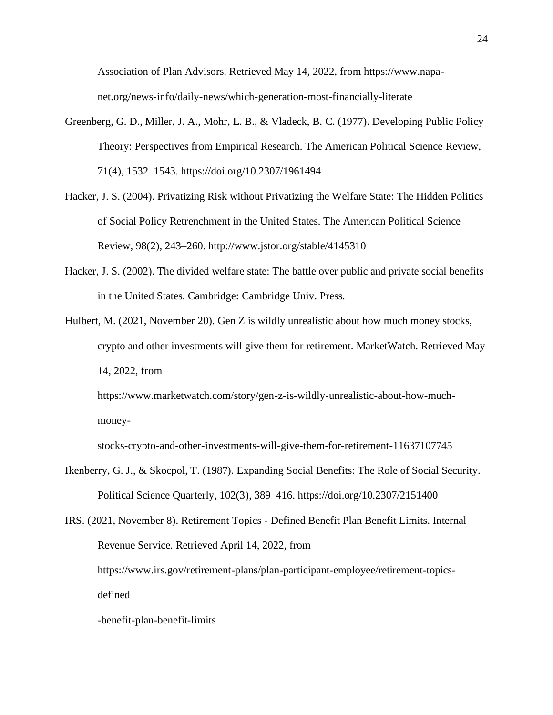Association of Plan Advisors. Retrieved May 14, 2022, from https://www.napanet.org/news-info/daily-news/which-generation-most-financially-literate

- Greenberg, G. D., Miller, J. A., Mohr, L. B., & Vladeck, B. C. (1977). Developing Public Policy Theory: Perspectives from Empirical Research. The American Political Science Review, 71(4), 1532–1543. https://doi.org/10.2307/1961494
- Hacker, J. S. (2004). Privatizing Risk without Privatizing the Welfare State: The Hidden Politics of Social Policy Retrenchment in the United States. The American Political Science Review, 98(2), 243–260. http://www.jstor.org/stable/4145310
- Hacker, J. S. (2002). The divided welfare state: The battle over public and private social benefits in the United States. Cambridge: Cambridge Univ. Press.
- Hulbert, M. (2021, November 20). Gen Z is wildly unrealistic about how much money stocks, crypto and other investments will give them for retirement. MarketWatch. Retrieved May 14, 2022, from

https://www.marketwatch.com/story/gen-z-is-wildly-unrealistic-about-how-muchmoney-

stocks-crypto-and-other-investments-will-give-them-for-retirement-11637107745

Ikenberry, G. J., & Skocpol, T. (1987). Expanding Social Benefits: The Role of Social Security. Political Science Quarterly, 102(3), 389–416. https://doi.org/10.2307/2151400

IRS. (2021, November 8). Retirement Topics - Defined Benefit Plan Benefit Limits. Internal Revenue Service. Retrieved April 14, 2022, from https://www.irs.gov/retirement-plans/plan-participant-employee/retirement-topicsdefined -benefit-plan-benefit-limits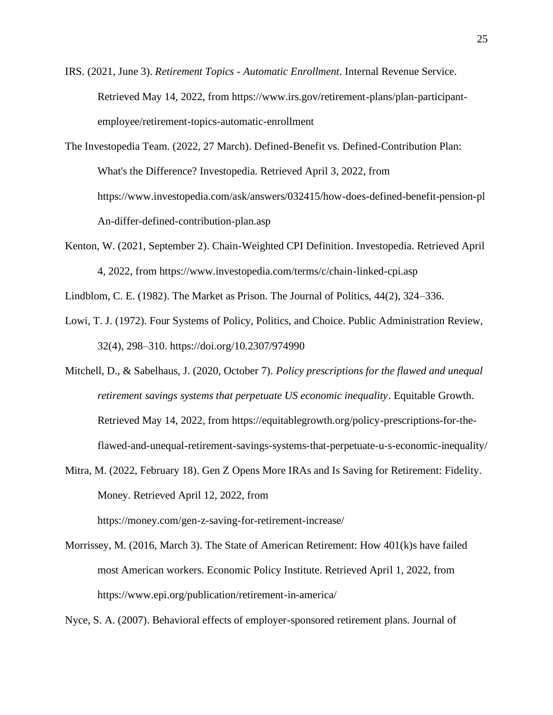- IRS. (2021, June 3). *Retirement Topics - Automatic Enrollment*. Internal Revenue Service. Retrieved May 14, 2022, from https://www.irs.gov/retirement-plans/plan-participantemployee/retirement-topics-automatic-enrollment
- The Investopedia Team. (2022, 27 March). Defined-Benefit vs. Defined-Contribution Plan: What's the Difference? Investopedia. Retrieved April 3, 2022, from https://www.investopedia.com/ask/answers/032415/how-does-defined-benefit-pension-pl An-differ-defined-contribution-plan.asp
- Kenton, W. (2021, September 2). Chain-Weighted CPI Definition. Investopedia. Retrieved April 4, 2022, from https://www.investopedia.com/terms/c/chain-linked-cpi.asp

Lindblom, C. E. (1982). The Market as Prison. The Journal of Politics, 44(2), 324–336.

- Lowi, T. J. (1972). Four Systems of Policy, Politics, and Choice. Public Administration Review, 32(4), 298–310. https://doi.org/10.2307/974990
- Mitchell, D., & Sabelhaus, J. (2020, October 7). *Policy prescriptions for the flawed and unequal retirement savings systems that perpetuate US economic inequality*. Equitable Growth. Retrieved May 14, 2022, from https://equitablegrowth.org/policy-prescriptions-for-theflawed-and-unequal-retirement-savings-systems-that-perpetuate-u-s-economic-inequality/
- Mitra, M. (2022, February 18). Gen Z Opens More IRAs and Is Saving for Retirement: Fidelity. Money. Retrieved April 12, 2022, from

https://money.com/gen-z-saving-for-retirement-increase/

Morrissey, M. (2016, March 3). The State of American Retirement: How 401(k)s have failed most American workers. Economic Policy Institute. Retrieved April 1, 2022, from https://www.epi.org/publication/retirement-in-america/

Nyce, S. A. (2007). Behavioral effects of employer-sponsored retirement plans. Journal of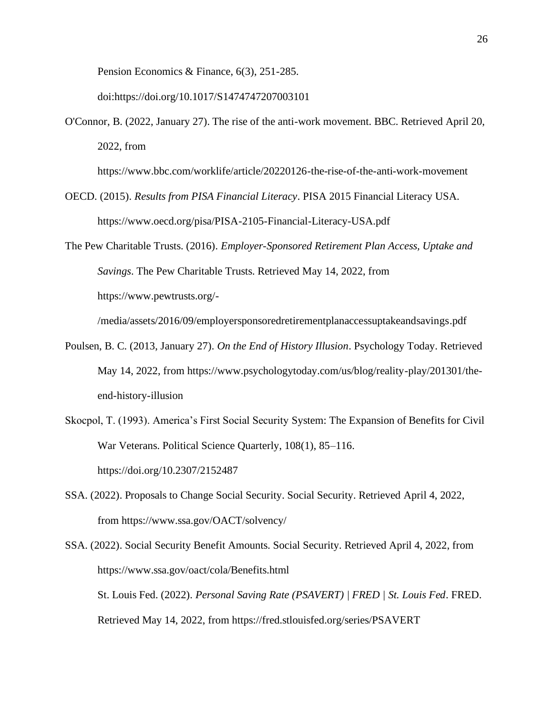Pension Economics & Finance, 6(3), 251-285.

doi:https://doi.org/10.1017/S1474747207003101

O'Connor, B. (2022, January 27). The rise of the anti-work movement. BBC. Retrieved April 20, 2022, from

https://www.bbc.com/worklife/article/20220126-the-rise-of-the-anti-work-movement

- OECD. (2015). *Results from PISA Financial Literacy*. PISA 2015 Financial Literacy USA. https://www.oecd.org/pisa/PISA-2105-Financial-Literacy-USA.pdf
- The Pew Charitable Trusts. (2016). *Employer-Sponsored Retirement Plan Access, Uptake and Savings*. The Pew Charitable Trusts. Retrieved May 14, 2022, from https://www.pewtrusts.org/-

/media/assets/2016/09/employersponsoredretirementplanaccessuptakeandsavings.pdf

- Poulsen, B. C. (2013, January 27). *On the End of History Illusion*. Psychology Today. Retrieved May 14, 2022, from https://www.psychologytoday.com/us/blog/reality-play/201301/theend-history-illusion
- Skocpol, T. (1993). America's First Social Security System: The Expansion of Benefits for Civil War Veterans. Political Science Quarterly, 108(1), 85–116. https://doi.org/10.2307/2152487
- SSA. (2022). Proposals to Change Social Security. Social Security. Retrieved April 4, 2022, from https://www.ssa.gov/OACT/solvency/
- SSA. (2022). Social Security Benefit Amounts. Social Security. Retrieved April 4, 2022, from https://www.ssa.gov/oact/cola/Benefits.html St. Louis Fed. (2022). *Personal Saving Rate (PSAVERT) | FRED | St. Louis Fed*. FRED. Retrieved May 14, 2022, from https://fred.stlouisfed.org/series/PSAVERT